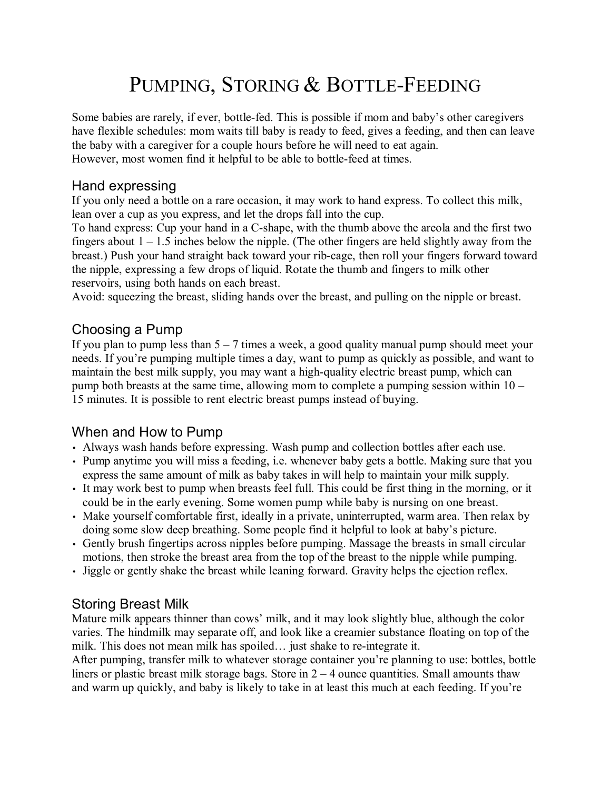# PUMPING, STORING & BOTTLE-FEEDING

Some babies are rarely, if ever, bottle-fed. This is possible if mom and baby's other caregivers have flexible schedules: mom waits till baby is ready to feed, gives a feeding, and then can leave the baby with a caregiver for a couple hours before he will need to eat again. However, most women find it helpful to be able to bottle-feed at times.

## Hand expressing

If you only need a bottle on a rare occasion, it may work to hand express. To collect this milk, lean over a cup as you express, and let the drops fall into the cup.

To hand express: Cup your hand in a C-shape, with the thumb above the areola and the first two fingers about  $1 - 1.5$  inches below the nipple. (The other fingers are held slightly away from the breast.) Push your hand straight back toward your rib-cage, then roll your fingers forward toward the nipple, expressing a few drops of liquid. Rotate the thumb and fingers to milk other reservoirs, using both hands on each breast.

Avoid: squeezing the breast, sliding hands over the breast, and pulling on the nipple or breast.

## Choosing a Pump

If you plan to pump less than  $5 - 7$  times a week, a good quality manual pump should meet your needs. If you're pumping multiple times a day, want to pump as quickly as possible, and want to maintain the best milk supply, you may want a high-quality electric breast pump, which can pump both breasts at the same time, allowing mom to complete a pumping session within  $10 -$ 15 minutes. It is possible to rent electric breast pumps instead of buying.

# When and How to Pump

- Always wash hands before expressing. Wash pump and collection bottles after each use.
- Pump anytime you will miss a feeding, i.e. whenever baby gets a bottle. Making sure that you express the same amount of milk as baby takes in will help to maintain your milk supply.
- It may work best to pump when breasts feel full. This could be first thing in the morning, or it could be in the early evening. Some women pump while baby is nursing on one breast.
- Make yourself comfortable first, ideally in a private, uninterrupted, warm area. Then relax by doing some slow deep breathing. Some people find it helpful to look at babyís picture.
- Gently brush fingertips across nipples before pumping. Massage the breasts in small circular motions, then stroke the breast area from the top of the breast to the nipple while pumping.
- Jiggle or gently shake the breast while leaning forward. Gravity helps the ejection reflex.

# Storing Breast Milk

Mature milk appears thinner than cows' milk, and it may look slightly blue, although the color varies. The hindmilk may separate off, and look like a creamier substance floating on top of the milk. This does not mean milk has spoiled... just shake to re-integrate it.

After pumping, transfer milk to whatever storage container you're planning to use: bottles, bottle liners or plastic breast milk storage bags. Store in  $2 - 4$  ounce quantities. Small amounts thaw and warm up quickly, and baby is likely to take in at least this much at each feeding. If you're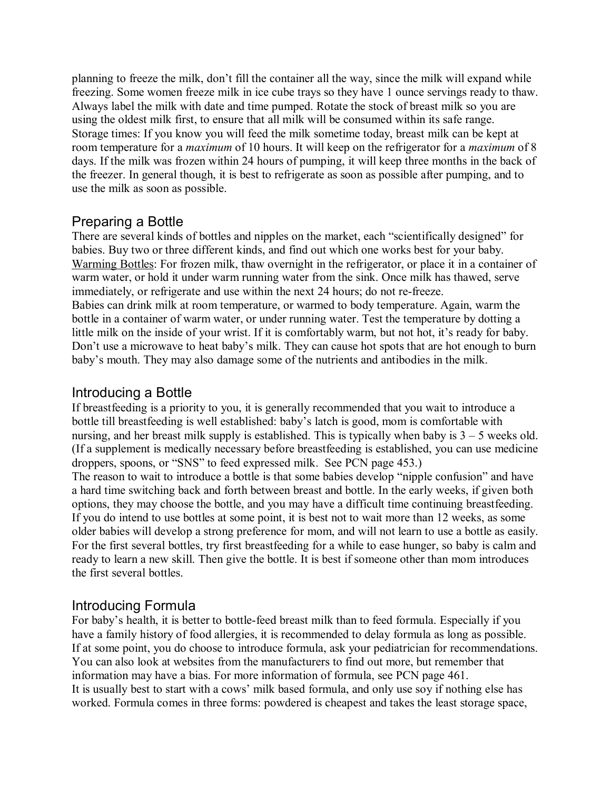planning to freeze the milk, don't fill the container all the way, since the milk will expand while freezing. Some women freeze milk in ice cube trays so they have 1 ounce servings ready to thaw. Always label the milk with date and time pumped. Rotate the stock of breast milk so you are using the oldest milk first, to ensure that all milk will be consumed within its safe range. Storage times: If you know you will feed the milk sometime today, breast milk can be kept at room temperature for a *maximum* of 10 hours. It will keep on the refrigerator for a *maximum* of 8 days. If the milk was frozen within 24 hours of pumping, it will keep three months in the back of the freezer. In general though, it is best to refrigerate as soon as possible after pumping, and to use the milk as soon as possible.

## Preparing a Bottle

There are several kinds of bottles and nipples on the market, each "scientifically designed" for babies. Buy two or three different kinds, and find out which one works best for your baby. Warming Bottles: For frozen milk, thaw overnight in the refrigerator, or place it in a container of warm water, or hold it under warm running water from the sink. Once milk has thawed, serve immediately, or refrigerate and use within the next 24 hours; do not re-freeze. Babies can drink milk at room temperature, or warmed to body temperature. Again, warm the bottle in a container of warm water, or under running water. Test the temperature by dotting a little milk on the inside of your wrist. If it is comfortably warm, but not hot, it's ready for baby. Don't use a microwave to heat baby's milk. They can cause hot spots that are hot enough to burn baby's mouth. They may also damage some of the nutrients and antibodies in the milk.

#### Introducing a Bottle

If breastfeeding is a priority to you, it is generally recommended that you wait to introduce a bottle till breastfeeding is well established: baby's latch is good, mom is comfortable with nursing, and her breast milk supply is established. This is typically when baby is  $3 - 5$  weeks old. (If a supplement is medically necessary before breastfeeding is established, you can use medicine droppers, spoons, or "SNS" to feed expressed milk. See PCN page 453.) The reason to wait to introduce a bottle is that some babies develop "nipple confusion" and have a hard time switching back and forth between breast and bottle. In the early weeks, if given both options, they may choose the bottle, and you may have a difficult time continuing breastfeeding. If you do intend to use bottles at some point, it is best not to wait more than 12 weeks, as some older babies will develop a strong preference for mom, and will not learn to use a bottle as easily. For the first several bottles, try first breastfeeding for a while to ease hunger, so baby is calm and ready to learn a new skill. Then give the bottle. It is best if someone other than mom introduces

# Introducing Formula

the first several bottles.

For baby's health, it is better to bottle-feed breast milk than to feed formula. Especially if you have a family history of food allergies, it is recommended to delay formula as long as possible. If at some point, you do choose to introduce formula, ask your pediatrician for recommendations. You can also look at websites from the manufacturers to find out more, but remember that information may have a bias. For more information of formula, see PCN page 461. It is usually best to start with a cows' milk based formula, and only use soy if nothing else has worked. Formula comes in three forms: powdered is cheapest and takes the least storage space,